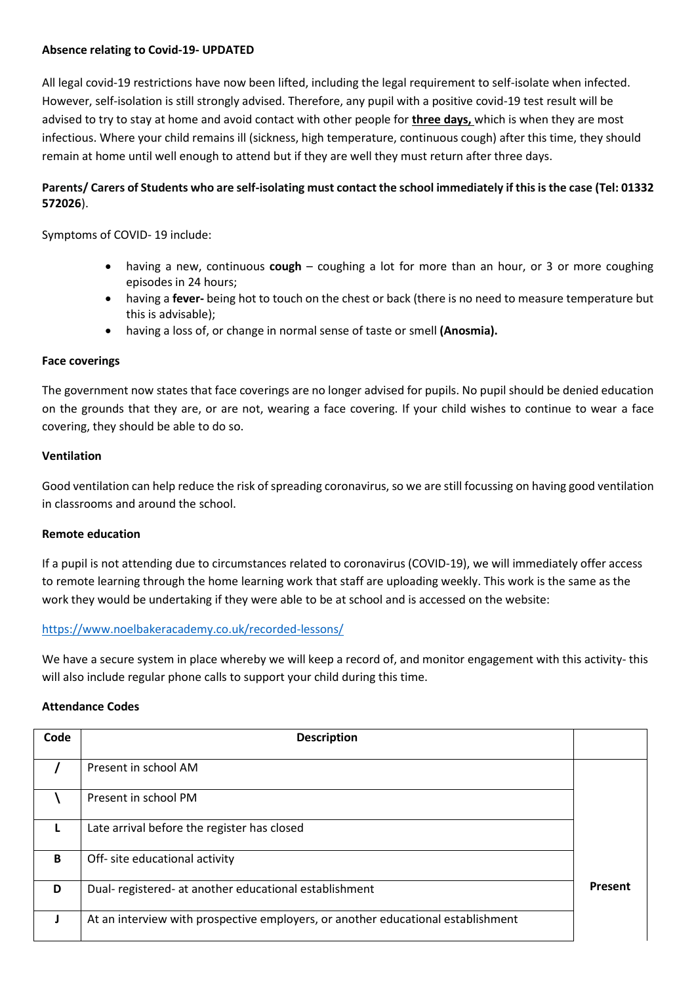## **Absence relating to Covid-19- UPDATED**

All legal covid-19 restrictions have now been lifted, including the legal requirement to self-isolate when infected. However, self-isolation is still strongly advised. Therefore, any pupil with a positive covid-19 test result will be advised to try to stay at home and avoid contact with other people for **three days,** which is when they are most infectious. Where your child remains ill (sickness, high temperature, continuous cough) after this time, they should remain at home until well enough to attend but if they are well they must return after three days.

# **Parents/ Carers of Students who are self-isolating must contact the school immediately if this is the case (Tel: 01332 572026**).

Symptoms of COVID- 19 include:

- having a new, continuous **cough** coughing a lot for more than an hour, or 3 or more coughing episodes in 24 hours;
- having a **fever-** being hot to touch on the chest or back (there is no need to measure temperature but this is advisable);
- having a loss of, or change in normal sense of taste or smell **(Anosmia).**

### **Face coverings**

The government now states that face coverings are no longer advised for pupils. No pupil should be denied education on the grounds that they are, or are not, wearing a face covering. If your child wishes to continue to wear a face covering, they should be able to do so.

### **Ventilation**

Good ventilation can help reduce the risk of spreading coronavirus, so we are still focussing on having good ventilation in classrooms and around the school.

### **Remote education**

If a pupil is not attending due to circumstances related to coronavirus (COVID-19), we will immediately offer access to remote learning through the home learning work that staff are uploading weekly. This work is the same as the work they would be undertaking if they were able to be at school and is accessed on the website:

# <https://www.noelbakeracademy.co.uk/recorded-lessons/>

We have a secure system in place whereby we will keep a record of, and monitor engagement with this activity- this will also include regular phone calls to support your child during this time.

### **Attendance Codes**

| Code | <b>Description</b>                                                               |                |
|------|----------------------------------------------------------------------------------|----------------|
|      | Present in school AM                                                             |                |
|      | Present in school PM                                                             |                |
|      | Late arrival before the register has closed                                      |                |
| B    | Off- site educational activity                                                   |                |
| D    | Dual- registered- at another educational establishment                           | <b>Present</b> |
|      | At an interview with prospective employers, or another educational establishment |                |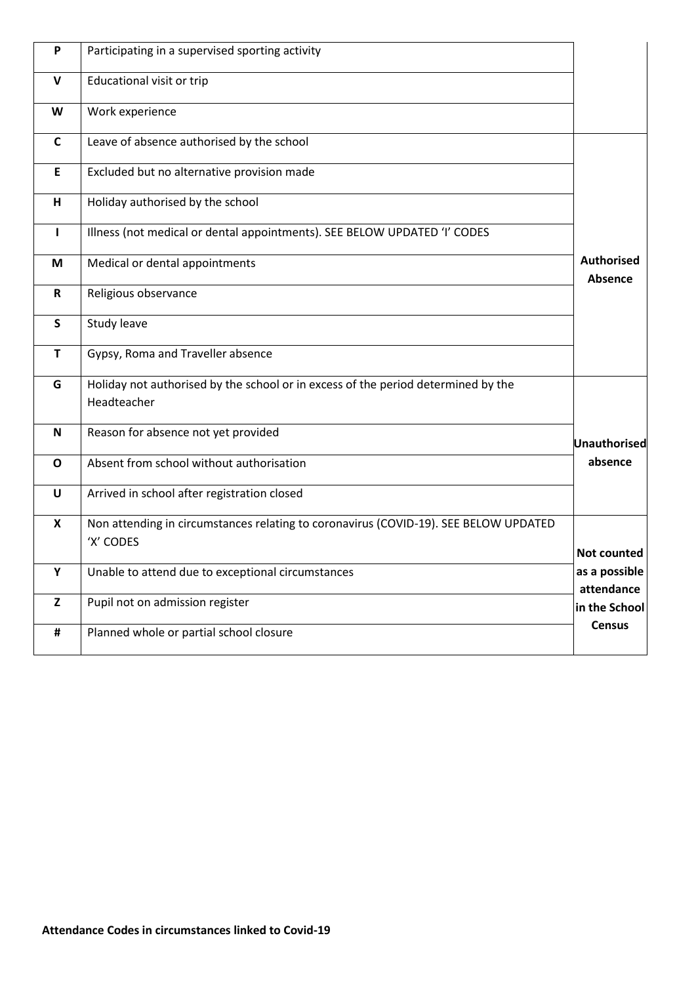| P            | Participating in a supervised sporting activity                                                   |                              |
|--------------|---------------------------------------------------------------------------------------------------|------------------------------|
| v            | Educational visit or trip                                                                         |                              |
| W            | Work experience                                                                                   |                              |
| $\mathsf{C}$ | Leave of absence authorised by the school                                                         |                              |
| E            | Excluded but no alternative provision made                                                        |                              |
| н            | Holiday authorised by the school                                                                  |                              |
| L            | Illness (not medical or dental appointments). SEE BELOW UPDATED 'I' CODES                         |                              |
| M            | Medical or dental appointments                                                                    | <b>Authorised</b><br>Absence |
| R            | Religious observance                                                                              |                              |
| $\mathsf{s}$ | Study leave                                                                                       |                              |
| T            | Gypsy, Roma and Traveller absence                                                                 |                              |
| G            | Holiday not authorised by the school or in excess of the period determined by the<br>Headteacher  |                              |
| N            | Reason for absence not yet provided                                                               | Unauthorised                 |
| $\mathbf 0$  | Absent from school without authorisation                                                          | absence                      |
| U            | Arrived in school after registration closed                                                       |                              |
| X            | Non attending in circumstances relating to coronavirus (COVID-19). SEE BELOW UPDATED<br>'X' CODES | Not counted                  |
| Υ            | Unable to attend due to exceptional circumstances                                                 | as a possible<br>attendance  |
| Z            | Pupil not on admission register                                                                   | in the School                |
| #            | Planned whole or partial school closure                                                           | <b>Census</b>                |